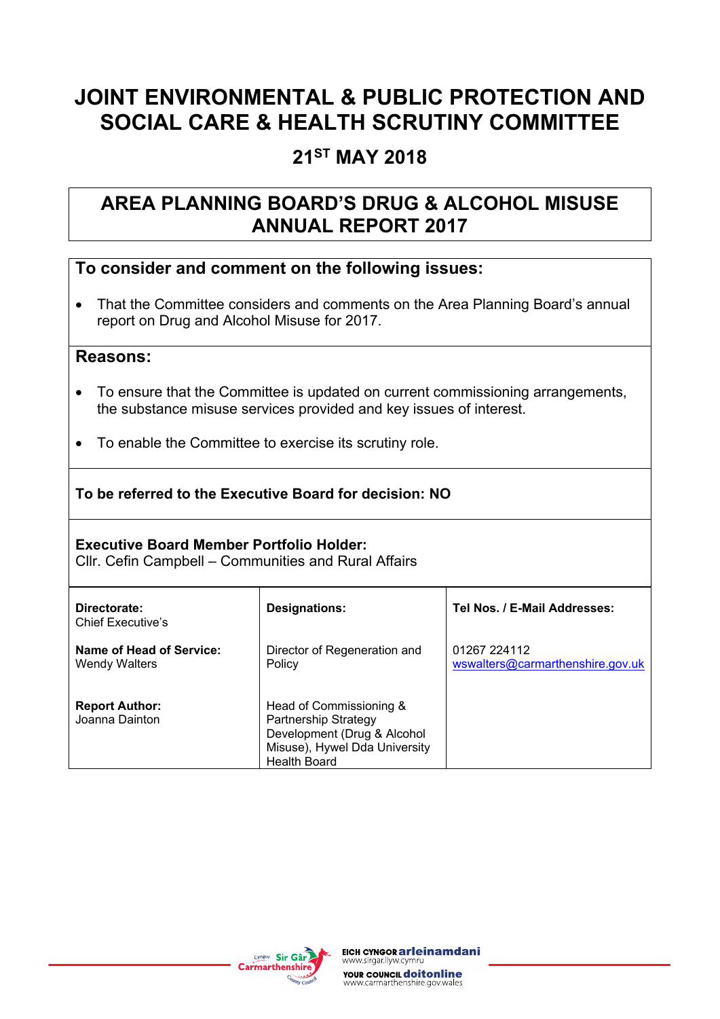# **JOINT ENVIRONMENTAL & PUBLIC PROTECTION AND SOCIAL CARE & HEALTH SCRUTINY COMMITTEE**

# **21ST MAY 2018**

# **AREA PLANNING BOARD'S DRUG & ALCOHOL MISUSE ANNUAL REPORT 2017**

# **To consider and comment on the following issues:**

• That the Committee considers and comments on the Area Planning Board's annual report on Drug and Alcohol Misuse for 2017.

#### **Reasons:**

- To ensure that the Committee is updated on current commissioning arrangements, the substance misuse services provided and key issues of interest.
- To enable the Committee to exercise its scrutiny role.

#### **To be referred to the Executive Board for decision: NO**

#### **Executive Board Member Portfolio Holder:**

Cllr. Cefin Campbell – Communities and Rural Affairs

| Directorate:<br><b>Chief Executive's</b>         | <b>Designations:</b>                                                                                                                   | Tel Nos. / E-Mail Addresses:                     |  |  |
|--------------------------------------------------|----------------------------------------------------------------------------------------------------------------------------------------|--------------------------------------------------|--|--|
| Name of Head of Service:<br><b>Wendy Walters</b> | Director of Regeneration and<br>Policy                                                                                                 | 01267 224112<br>wswalters@carmarthenshire.gov.uk |  |  |
| <b>Report Author:</b><br>Joanna Dainton          | Head of Commissioning &<br>Partnership Strategy<br>Development (Drug & Alcohol<br>Misuse), Hywel Dda University<br><b>Health Board</b> |                                                  |  |  |

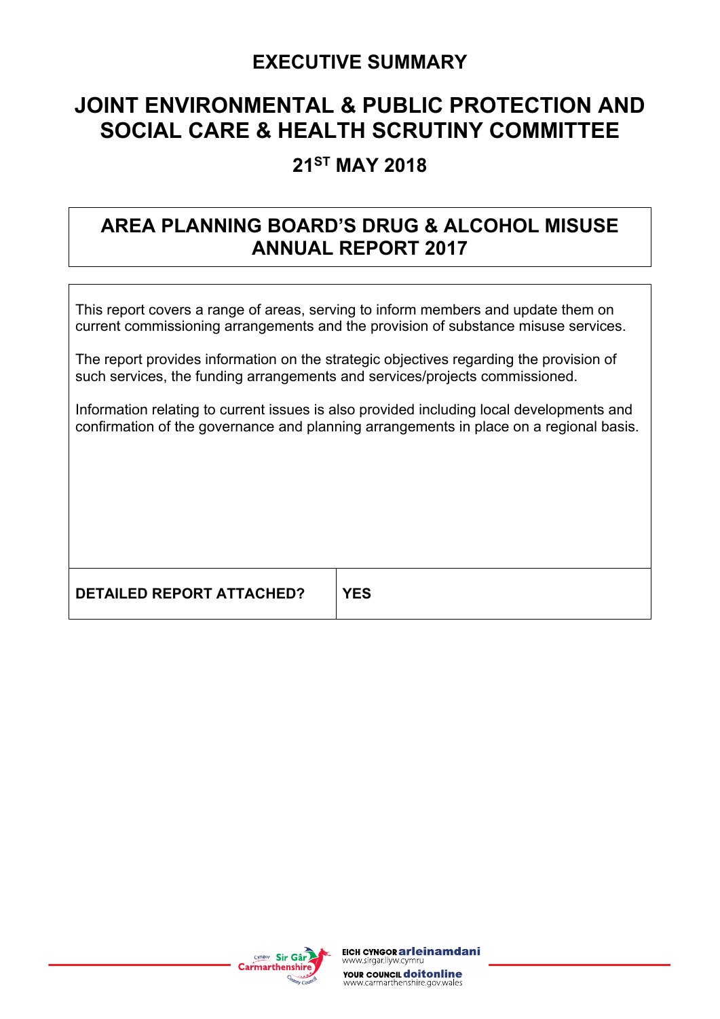# **EXECUTIVE SUMMARY**

# **JOINT ENVIRONMENTAL & PUBLIC PROTECTION AND SOCIAL CARE & HEALTH SCRUTINY COMMITTEE**

# **21ST MAY 2018**

# **AREA PLANNING BOARD'S DRUG & ALCOHOL MISUSE ANNUAL REPORT 2017**

This report covers a range of areas, serving to inform members and update them on current commissioning arrangements and the provision of substance misuse services.

The report provides information on the strategic objectives regarding the provision of such services, the funding arrangements and services/projects commissioned.

Information relating to current issues is also provided including local developments and confirmation of the governance and planning arrangements in place on a regional basis.

**DETAILED REPORT ATTACHED? YES**

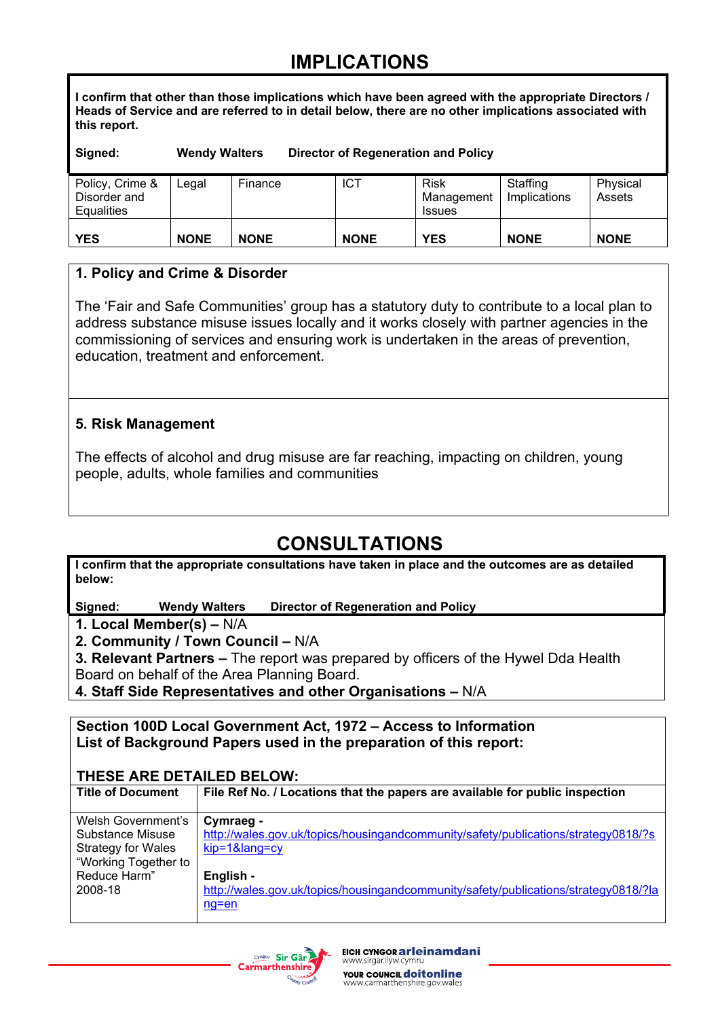# **IMPLICATIONS**

**I confirm that other than those implications which have been agreed with the appropriate Directors / Heads of Service and are referred to in detail below, there are no other implications associated with this report.**

**Signed: Wendy Walters Director of Regeneration and Policy**

| Policy, Crime &<br>Disorder and | Legal       | Finance     | <b>ICT</b>  | Risk<br>Management | Staffing<br>Implications | Physical<br>Assets |
|---------------------------------|-------------|-------------|-------------|--------------------|--------------------------|--------------------|
| Equalities                      |             |             |             | <b>Issues</b>      |                          |                    |
|                                 |             |             |             |                    |                          |                    |
| <b>YES</b>                      | <b>NONE</b> | <b>NONE</b> | <b>NONE</b> | <b>YES</b>         | <b>NONE</b>              | <b>NONE</b>        |

#### **1. Policy and Crime & Disorder**

The 'Fair and Safe Communities' group has a statutory duty to contribute to a local plan to address substance misuse issues locally and it works closely with partner agencies in the commissioning of services and ensuring work is undertaken in the areas of prevention, education, treatment and enforcement.

#### **5. Risk Management**

The effects of alcohol and drug misuse are far reaching, impacting on children, young people, adults, whole families and communities

# **CONSULTATIONS**

**I confirm that the appropriate consultations have taken in place and the outcomes are as detailed below:**

**Signed: Wendy Walters Director of Regeneration and Policy**

**1. Local Member(s) –** N/A

**2. Community / Town Council –** N/A

**3. Relevant Partners –** The report was prepared by officers of the Hywel Dda Health Board on behalf of the Area Planning Board.

**4. Staff Side Representatives and other Organisations –** N/A

**Section 100D Local Government Act, 1972 – Access to Information List of Background Papers used in the preparation of this report:**

#### **THESE ARE DETAILED BELOW:**

| <b>Title of Document</b>  | File Ref No. / Locations that the papers are available for public inspection        |
|---------------------------|-------------------------------------------------------------------------------------|
| Welsh Government's        | Cymraeg -                                                                           |
| Substance Misuse          | http://wales.gov.uk/topics/housingandcommunity/safety/publications/strategy0818/?s  |
| <b>Strategy for Wales</b> | kip=1⟨=cy                                                                           |
| "Working Together to      |                                                                                     |
| Reduce Harm"              | English -                                                                           |
| 2008-18                   | http://wales.gov.uk/topics/housingandcommunity/safety/publications/strategy0818/?la |
|                           | ng=en                                                                               |

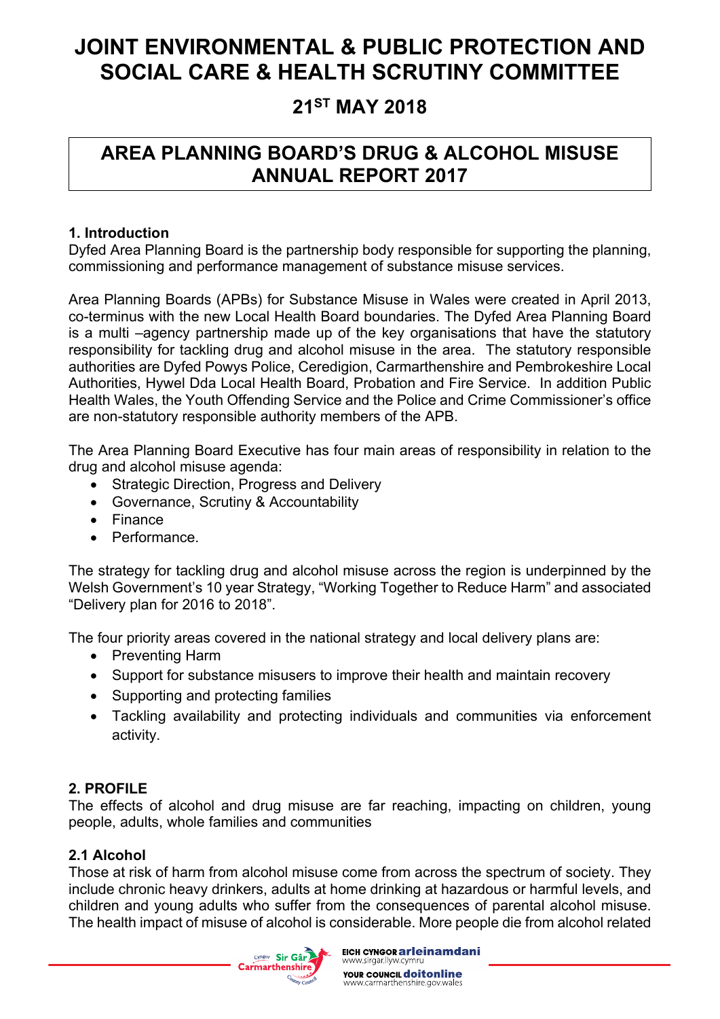# **JOINT ENVIRONMENTAL & PUBLIC PROTECTION AND SOCIAL CARE & HEALTH SCRUTINY COMMITTEE**

# **21ST MAY 2018**

# **AREA PLANNING BOARD'S DRUG & ALCOHOL MISUSE ANNUAL REPORT 2017**

## **1. Introduction**

Dyfed Area Planning Board is the partnership body responsible for supporting the planning, commissioning and performance management of substance misuse services.

Area Planning Boards (APBs) for Substance Misuse in Wales were created in April 2013, co-terminus with the new Local Health Board boundaries. The Dyfed Area Planning Board is a multi –agency partnership made up of the key organisations that have the statutory responsibility for tackling drug and alcohol misuse in the area. The statutory responsible authorities are Dyfed Powys Police, Ceredigion, Carmarthenshire and Pembrokeshire Local Authorities, Hywel Dda Local Health Board, Probation and Fire Service. In addition Public Health Wales, the Youth Offending Service and the Police and Crime Commissioner's office are non-statutory responsible authority members of the APB.

The Area Planning Board Executive has four main areas of responsibility in relation to the drug and alcohol misuse agenda:

- Strategic Direction, Progress and Delivery
- Governance, Scrutiny & Accountability
- Finance
- Performance.

The strategy for tackling drug and alcohol misuse across the region is underpinned by the Welsh Government's 10 year Strategy, "Working Together to Reduce Harm" and associated "Delivery plan for 2016 to 2018".

The four priority areas covered in the national strategy and local delivery plans are:

- Preventing Harm
- Support for substance misusers to improve their health and maintain recovery
- Supporting and protecting families
- Tackling availability and protecting individuals and communities via enforcement activity.

### **2. PROFILE**

The effects of alcohol and drug misuse are far reaching, impacting on children, young people, adults, whole families and communities

### **2.1 Alcohol**

Those at risk of harm from alcohol misuse come from across the spectrum of society. They include chronic heavy drinkers, adults at home drinking at hazardous or harmful levels, and children and young adults who suffer from the consequences of parental alcohol misuse. The health impact of misuse of alcohol is considerable. More people die from alcohol related

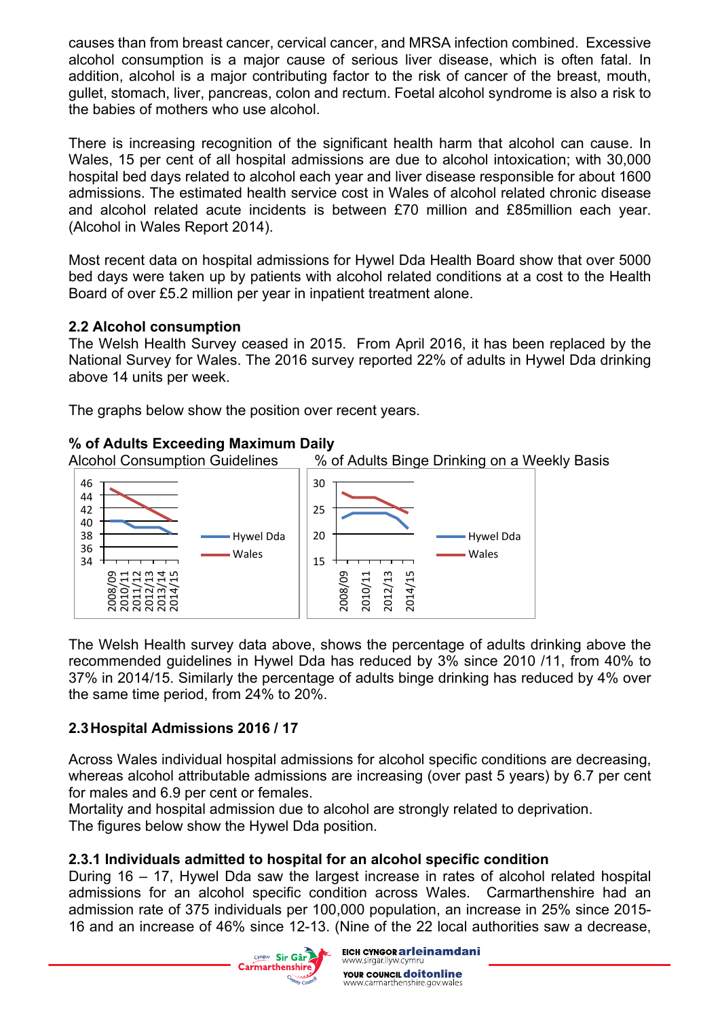causes than from breast cancer, cervical cancer, and MRSA infection combined. Excessive alcohol consumption is a major cause of serious liver disease, which is often fatal. In addition, alcohol is a major contributing factor to the risk of cancer of the breast, mouth, gullet, stomach, liver, pancreas, colon and rectum. Foetal alcohol syndrome is also a risk to the babies of mothers who use alcohol.

There is increasing recognition of the significant health harm that alcohol can cause. In Wales, 15 per cent of all hospital admissions are due to alcohol intoxication; with 30,000 hospital bed days related to alcohol each year and liver disease responsible for about 1600 admissions. The estimated health service cost in Wales of alcohol related chronic disease and alcohol related acute incidents is between £70 million and £85million each year. (Alcohol in Wales Report 2014).

Most recent data on hospital admissions for Hywel Dda Health Board show that over 5000 bed days were taken up by patients with alcohol related conditions at a cost to the Health Board of over £5.2 million per year in inpatient treatment alone.

#### **2.2 Alcohol consumption**

The Welsh Health Survey ceased in 2015. From April 2016, it has been replaced by the National Survey for Wales. The 2016 survey reported 22% of adults in Hywel Dda drinking above 14 units per week.

The graphs below show the position over recent years.

## **% of Adults Exceeding Maximum Daily**

Alcohol Consumption Guidelines % of Adults Binge Drinking on a Weekly Basis



The Welsh Health survey data above, shows the percentage of adults drinking above the recommended guidelines in Hywel Dda has reduced by 3% since 2010 /11, from 40% to 37% in 2014/15. Similarly the percentage of adults binge drinking has reduced by 4% over the same time period, from 24% to 20%.

# **2.3Hospital Admissions 2016 / 17**

Across Wales individual hospital admissions for alcohol specific conditions are decreasing, whereas alcohol attributable admissions are increasing (over past 5 years) by 6.7 per cent for males and 6.9 per cent or females.

Mortality and hospital admission due to alcohol are strongly related to deprivation. The figures below show the Hywel Dda position.

# **2.3.1 Individuals admitted to hospital for an alcohol specific condition**

During 16 – 17, Hywel Dda saw the largest increase in rates of alcohol related hospital admissions for an alcohol specific condition across Wales. Carmarthenshire had an admission rate of 375 individuals per 100,000 population, an increase in 25% since 2015- 16 and an increase of 46% since 12-13. (Nine of the 22 local authorities saw a decrease,

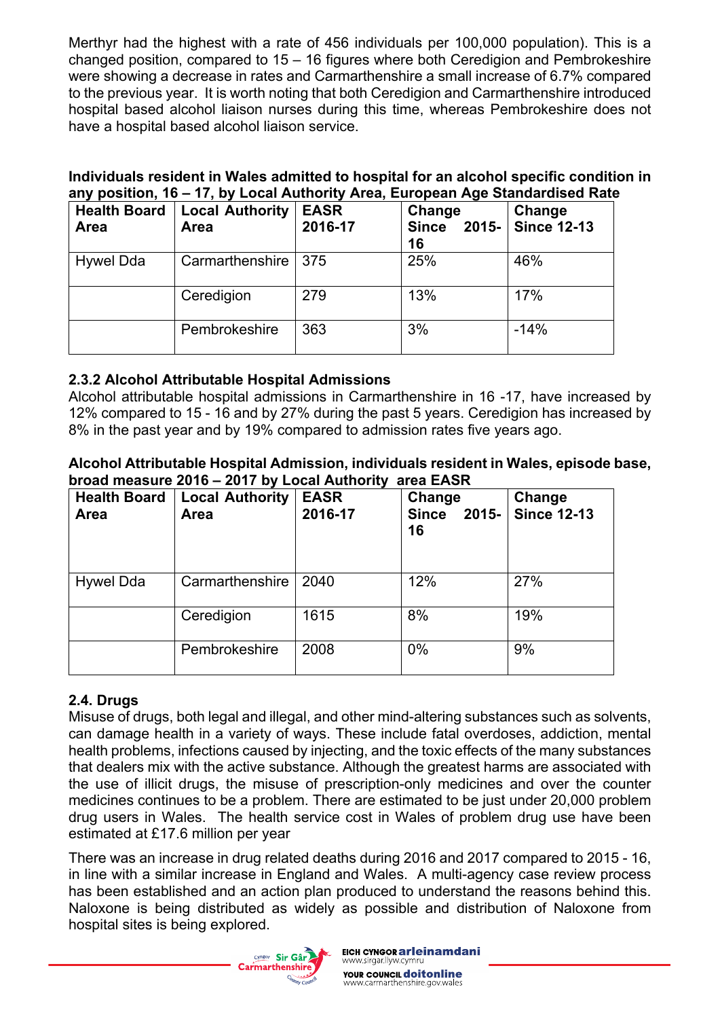Merthyr had the highest with a rate of 456 individuals per 100,000 population). This is a changed position, compared to 15 – 16 figures where both Ceredigion and Pembrokeshire were showing a decrease in rates and Carmarthenshire a small increase of 6.7% compared to the previous year. It is worth noting that both Ceredigion and Carmarthenshire introduced hospital based alcohol liaison nurses during this time, whereas Pembrokeshire does not have a hospital based alcohol liaison service.

#### **Individuals resident in Wales admitted to hospital for an alcohol specific condition in any position, 16 – 17, by Local Authority Area, European Age Standardised Rate**

| <b>Health Board</b><br>Area | <b>Local Authority</b><br>Area | <b>EASR</b><br>2016-17 | Change<br><b>Since</b><br>$2015 -$<br>16 | Change<br><b>Since 12-13</b> |
|-----------------------------|--------------------------------|------------------------|------------------------------------------|------------------------------|
| Hywel Dda                   | Carmarthenshire                | 375                    | 25%                                      | 46%                          |
|                             | Ceredigion                     | 279                    | 13%                                      | 17%                          |
|                             | Pembrokeshire                  | 363                    | 3%                                       | $-14%$                       |

### **2.3.2 Alcohol Attributable Hospital Admissions**

Alcohol attributable hospital admissions in Carmarthenshire in 16 -17, have increased by 12% compared to 15 - 16 and by 27% during the past 5 years. Ceredigion has increased by 8% in the past year and by 19% compared to admission rates five years ago.

#### **Alcohol Attributable Hospital Admission, individuals resident in Wales, episode base, broad measure 2016 – 2017 by Local Authority area EASR**

| <b>Health Board</b><br>Area | <b>Local Authority</b><br><b>Area</b> | <b>EASR</b><br>2016-17 | Change<br><b>Since</b><br>$2015 -$<br>16 | Change<br><b>Since 12-13</b> |
|-----------------------------|---------------------------------------|------------------------|------------------------------------------|------------------------------|
| Hywel Dda                   | Carmarthenshire                       | 2040                   | 12%                                      | 27%                          |
|                             | Ceredigion                            | 1615                   | 8%                                       | 19%                          |
|                             | Pembrokeshire                         | 2008                   | $0\%$                                    | 9%                           |

# **2.4. Drugs**

Misuse of drugs, both legal and illegal, and other mind-altering substances such as solvents, can damage health in a variety of ways. These include fatal overdoses, addiction, mental health problems, infections caused by injecting, and the toxic effects of the many substances that dealers mix with the active substance. Although the greatest harms are associated with the use of illicit drugs, the misuse of prescription-only medicines and over the counter medicines continues to be a problem. There are estimated to be just under 20,000 problem drug users in Wales. The health service cost in Wales of problem drug use have been estimated at £17.6 million per year

There was an increase in drug related deaths during 2016 and 2017 compared to 2015 - 16, in line with a similar increase in England and Wales. A multi-agency case review process has been established and an action plan produced to understand the reasons behind this. Naloxone is being distributed as widely as possible and distribution of Naloxone from hospital sites is being explored.

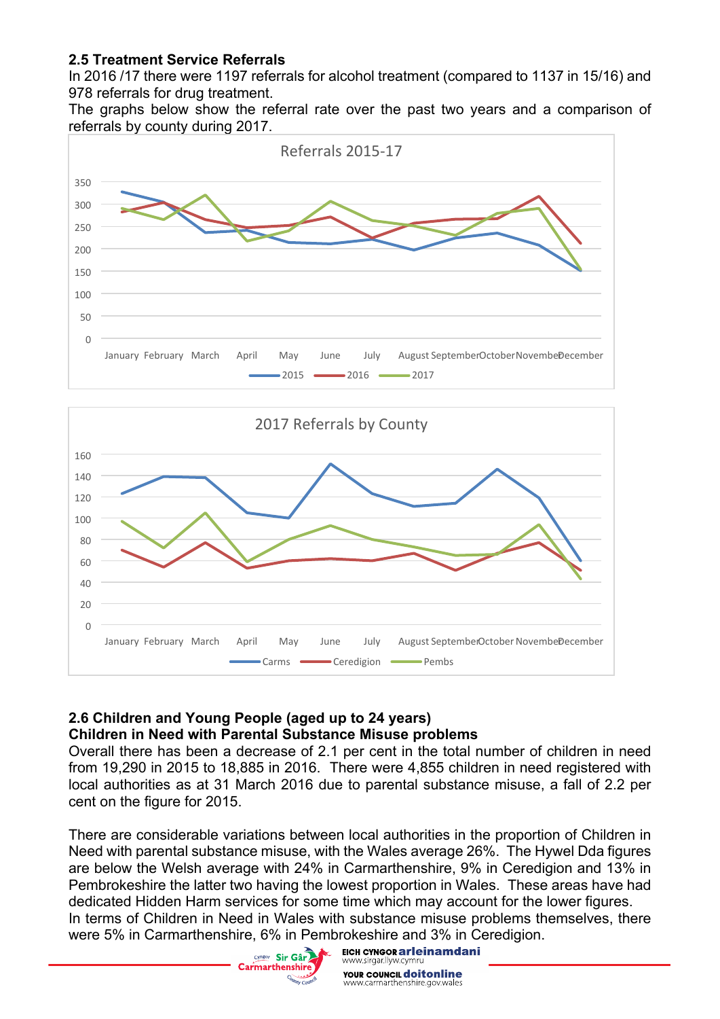### **2.5 Treatment Service Referrals**

In 2016 /17 there were 1197 referrals for alcohol treatment (compared to 1137 in 15/16) and 978 referrals for drug treatment.

The graphs below show the referral rate over the past two years and a comparison of referrals by county during 2017.





#### **2.6 Children and Young People (aged up to 24 years) Children in Need with Parental Substance Misuse problems**

Overall there has been a decrease of 2.1 per cent in the total number of children in need from 19,290 in 2015 to 18,885 in 2016. There were 4,855 children in need registered with local authorities as at 31 March 2016 due to parental substance misuse, a fall of 2.2 per cent on the figure for 2015.

There are considerable variations between local authorities in the proportion of Children in Need with parental substance misuse, with the Wales average 26%. The Hywel Dda figures are below the Welsh average with 24% in Carmarthenshire, 9% in Ceredigion and 13% in Pembrokeshire the latter two having the lowest proportion in Wales. These areas have had dedicated Hidden Harm services for some time which may account for the lower figures. In terms of Children in Need in Wales with substance misuse problems themselves, there were 5% in Carmarthenshire, 6% in Pembrokeshire and 3% in Ceredigion.



EICH CYNGOR ar leinamdani ww.sirgar.llyw.cymru **YOUR COUNCIL doitonline** www.carmarthenshire.gov.wales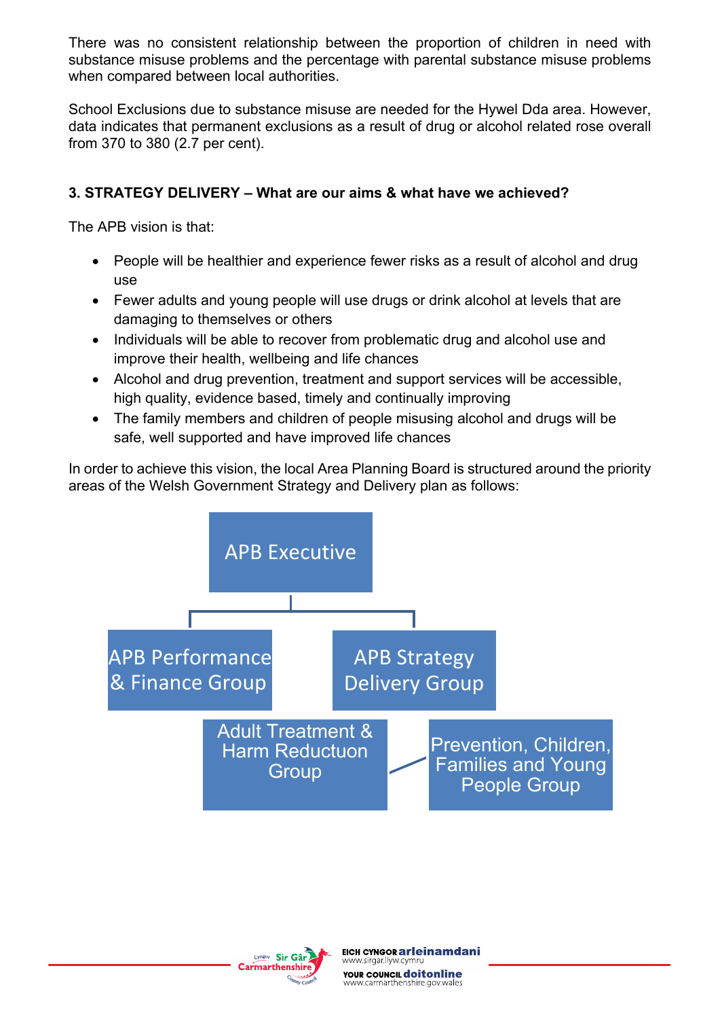There was no consistent relationship between the proportion of children in need with substance misuse problems and the percentage with parental substance misuse problems when compared between local authorities.

School Exclusions due to substance misuse are needed for the Hywel Dda area. However, data indicates that permanent exclusions as a result of drug or alcohol related rose overall from 370 to 380 (2.7 per cent).

### **3. STRATEGY DELIVERY – What are our aims & what have we achieved?**

The APB vision is that:

- People will be healthier and experience fewer risks as a result of alcohol and drug use
- Fewer adults and young people will use drugs or drink alcohol at levels that are damaging to themselves or others
- Individuals will be able to recover from problematic drug and alcohol use and improve their health, wellbeing and life chances
- Alcohol and drug prevention, treatment and support services will be accessible, high quality, evidence based, timely and continually improving
- The family members and children of people misusing alcohol and drugs will be safe, well supported and have improved life chances

In order to achieve this vision, the local Area Planning Board is structured around the priority areas of the Welsh Government Strategy and Delivery plan as follows:



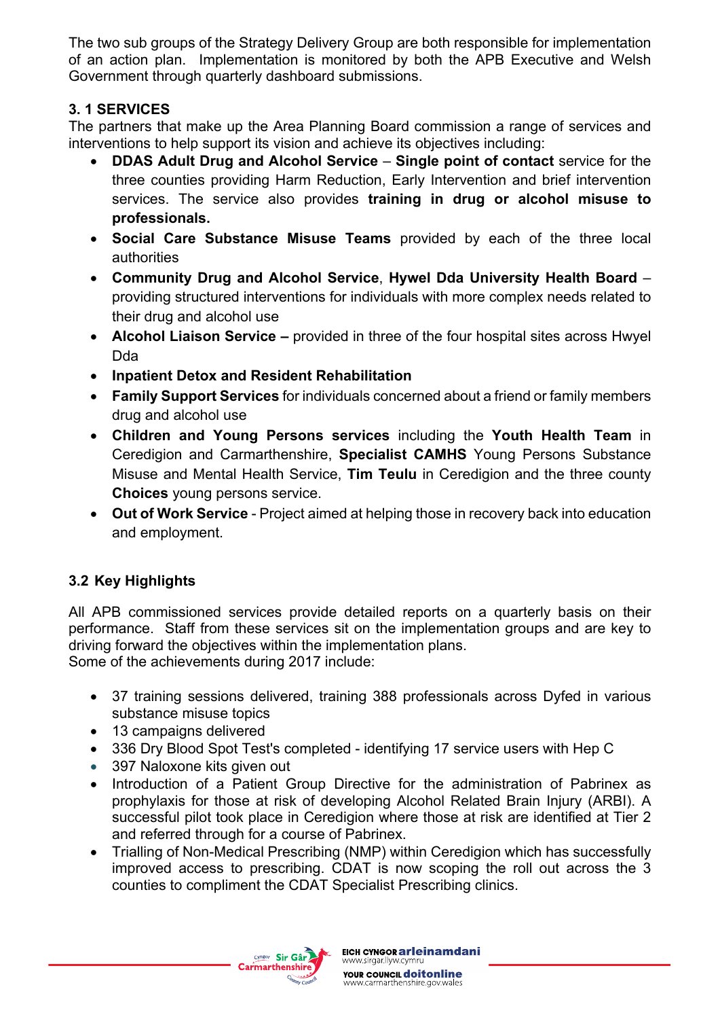The two sub groups of the Strategy Delivery Group are both responsible for implementation of an action plan. Implementation is monitored by both the APB Executive and Welsh Government through quarterly dashboard submissions.

## **3. 1 SERVICES**

The partners that make up the Area Planning Board commission a range of services and interventions to help support its vision and achieve its objectives including:

- **DDAS Adult Drug and Alcohol Service Single point of contact** service for the three counties providing Harm Reduction, Early Intervention and brief intervention services. The service also provides **training in drug or alcohol misuse to professionals.**
- **Social Care Substance Misuse Teams** provided by each of the three local authorities
- **Community Drug and Alcohol Service**, **Hywel Dda University Health Board** providing structured interventions for individuals with more complex needs related to their drug and alcohol use
- **Alcohol Liaison Service –** provided in three of the four hospital sites across Hwyel Dda
- **Inpatient Detox and Resident Rehabilitation**
- **Family Support Services** for individuals concerned about a friend or family members drug and alcohol use
- **Children and Young Persons services** including the **Youth Health Team** in Ceredigion and Carmarthenshire, **Specialist CAMHS** Young Persons Substance Misuse and Mental Health Service, **Tim Teulu** in Ceredigion and the three county **Choices** young persons service.
- **Out of Work Service** Project aimed at helping those in recovery back into education and employment.

# **3.2 Key Highlights**

All APB commissioned services provide detailed reports on a quarterly basis on their performance. Staff from these services sit on the implementation groups and are key to driving forward the objectives within the implementation plans. Some of the achievements during 2017 include:

- 37 training sessions delivered, training 388 professionals across Dyfed in various substance misuse topics
- 13 campaigns delivered
- 336 Dry Blood Spot Test's completed identifying 17 service users with Hep C
- 397 Naloxone kits given out
- Introduction of a Patient Group Directive for the administration of Pabrinex as prophylaxis for those at risk of developing Alcohol Related Brain Injury (ARBI). A successful pilot took place in Ceredigion where those at risk are identified at Tier 2 and referred through for a course of Pabrinex.
- Trialling of Non-Medical Prescribing (NMP) within Ceredigion which has successfully improved access to prescribing. CDAT is now scoping the roll out across the 3 counties to compliment the CDAT Specialist Prescribing clinics.

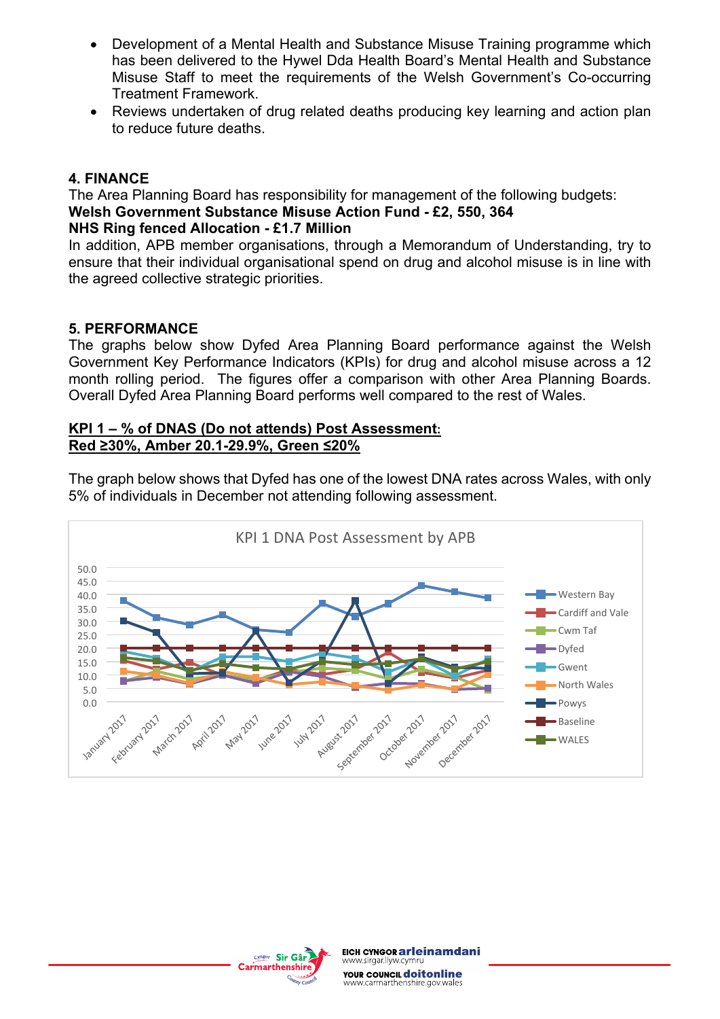- Development of a Mental Health and Substance Misuse Training programme which has been delivered to the Hywel Dda Health Board's Mental Health and Substance Misuse Staff to meet the requirements of the Welsh Government's Co-occurring Treatment Framework.
- Reviews undertaken of drug related deaths producing key learning and action plan to reduce future deaths.

#### **4. FINANCE**

The Area Planning Board has responsibility for management of the following budgets: **Welsh Government Substance Misuse Action Fund - £2, 550, 364 NHS Ring fenced Allocation - £1.7 Million**

In addition, APB member organisations, through a Memorandum of Understanding, try to ensure that their individual organisational spend on drug and alcohol misuse is in line with the agreed collective strategic priorities.

#### **5. PERFORMANCE**

The graphs below show Dyfed Area Planning Board performance against the Welsh Government Key Performance Indicators (KPIs) for drug and alcohol misuse across a 12 month rolling period. The figures offer a comparison with other Area Planning Boards. Overall Dyfed Area Planning Board performs well compared to the rest of Wales.

#### **KPI 1 – % of DNAS (Do not attends) Post Assessment: Red ≥30%, Amber 20.1-29.9%, Green ≤20%**

The graph below shows that Dyfed has one of the lowest DNA rates across Wales, with only 5% of individuals in December not attending following assessment.



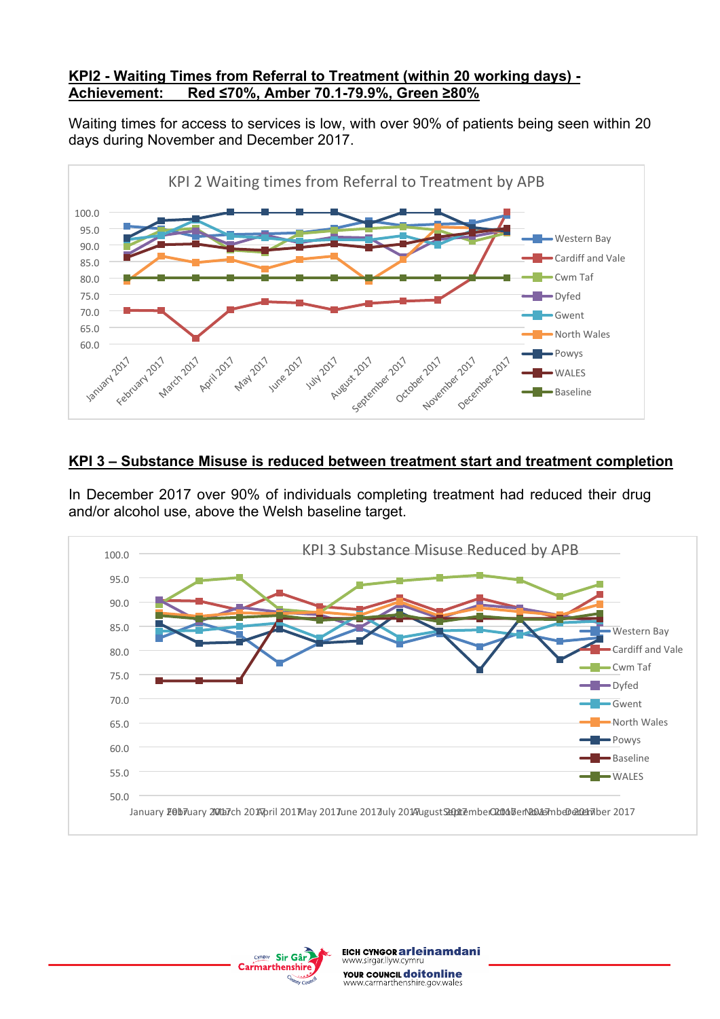#### **KPI2 - Waiting Times from Referral to Treatment (within 20 working days) - Achievement: Red ≤70%, Amber 70.1-79.9%, Green ≥80%**

Waiting times for access to services is low, with over 90% of patients being seen within 20 days during November and December 2017.



#### **KPI 3 – Substance Misuse is reduced between treatment start and treatment completion**

In December 2017 over 90% of individuals completing treatment had reduced their drug and/or alcohol use, above the Welsh baseline target.



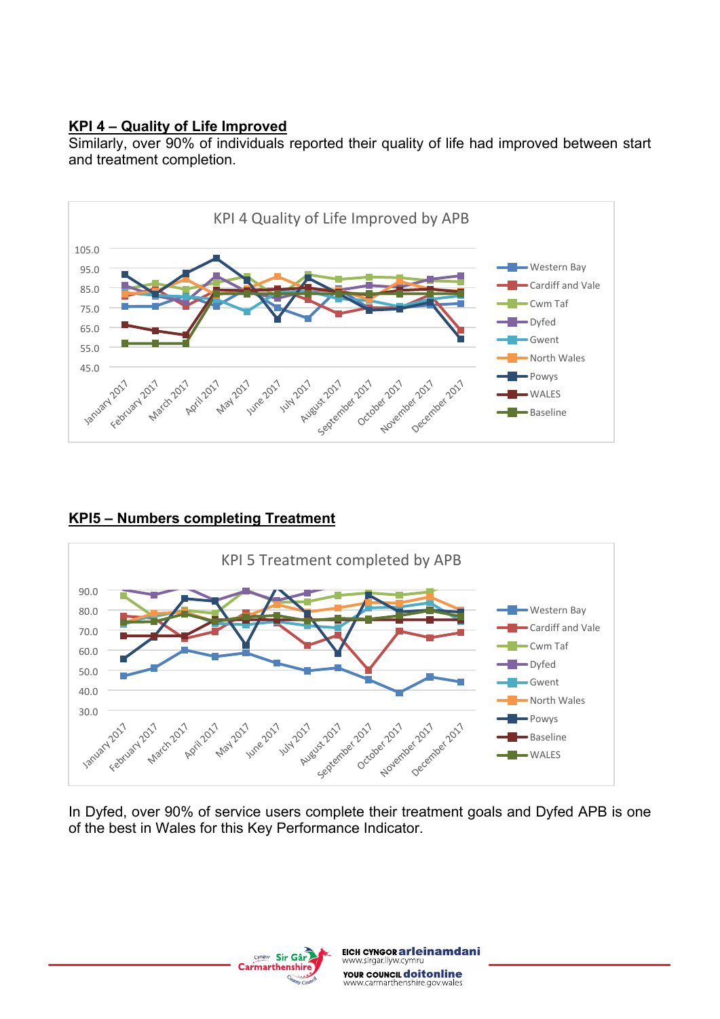#### **KPI 4 – Quality of Life Improved**

Similarly, over 90% of individuals reported their quality of life had improved between start and treatment completion.



### **KPI5 – Numbers completing Treatment**



In Dyfed, over 90% of service users complete their treatment goals and Dyfed APB is one of the best in Wales for this Key Performance Indicator.